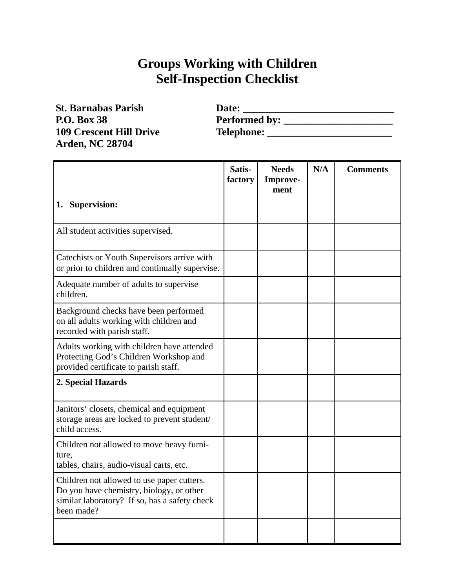## **Groups Working with Children Self-Inspection Checklist**

**St. Barnabas Parish P.O. Box 38 109 Crescent Hill Drive Arden, NC 28704** 

| Date:                |  |
|----------------------|--|
| <b>Performed by:</b> |  |
| <b>Telephone:</b>    |  |

|                                                                                                                                                       | Satis-<br>factory | <b>Needs</b><br>Improve-<br>ment | N/A | <b>Comments</b> |
|-------------------------------------------------------------------------------------------------------------------------------------------------------|-------------------|----------------------------------|-----|-----------------|
| 1. Supervision:                                                                                                                                       |                   |                                  |     |                 |
| All student activities supervised.                                                                                                                    |                   |                                  |     |                 |
| Catechists or Youth Supervisors arrive with<br>or prior to children and continually supervise.                                                        |                   |                                  |     |                 |
| Adequate number of adults to supervise<br>children.                                                                                                   |                   |                                  |     |                 |
| Background checks have been performed<br>on all adults working with children and<br>recorded with parish staff.                                       |                   |                                  |     |                 |
| Adults working with children have attended<br>Protecting God's Children Workshop and<br>provided certificate to parish staff.                         |                   |                                  |     |                 |
| 2. Special Hazards                                                                                                                                    |                   |                                  |     |                 |
| Janitors' closets, chemical and equipment<br>storage areas are locked to prevent student/<br>child access.                                            |                   |                                  |     |                 |
| Children not allowed to move heavy furni-<br>ture.<br>tables, chairs, audio-visual carts, etc.                                                        |                   |                                  |     |                 |
| Children not allowed to use paper cutters.<br>Do you have chemistry, biology, or other<br>similar laboratory? If so, has a safety check<br>been made? |                   |                                  |     |                 |
|                                                                                                                                                       |                   |                                  |     |                 |